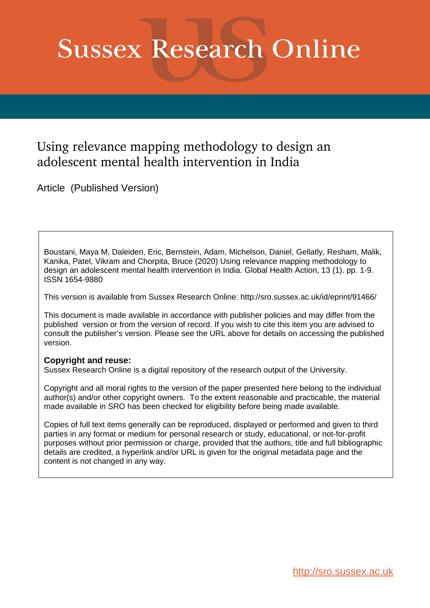# **Sussex Research Online**

# Using relevance mapping methodology to design an adolescent mental health intervention in India

Article (Published Version)

Boustani, Maya M, Daleiden, Eric, Bernstein, Adam, Michelson, Daniel, Gellatly, Resham, Malik, Kanika, Patel, Vikram and Chorpita, Bruce (2020) Using relevance mapping methodology to design an adolescent mental health intervention in India. Global Health Action, 13 (1). pp. 1-9. ISSN 1654-9880

This version is available from Sussex Research Online: http://sro.sussex.ac.uk/id/eprint/91466/

This document is made available in accordance with publisher policies and may differ from the published version or from the version of record. If you wish to cite this item you are advised to consult the publisher's version. Please see the URL above for details on accessing the published version.

# **Copyright and reuse:**

Sussex Research Online is a digital repository of the research output of the University.

Copyright and all moral rights to the version of the paper presented here belong to the individual author(s) and/or other copyright owners. To the extent reasonable and practicable, the material made available in SRO has been checked for eligibility before being made available.

Copies of full text items generally can be reproduced, displayed or performed and given to third parties in any format or medium for personal research or study, educational, or not-for-profit purposes without prior permission or charge, provided that the authors, title and full bibliographic details are credited, a hyperlink and/or URL is given for the original metadata page and the content is not changed in any way.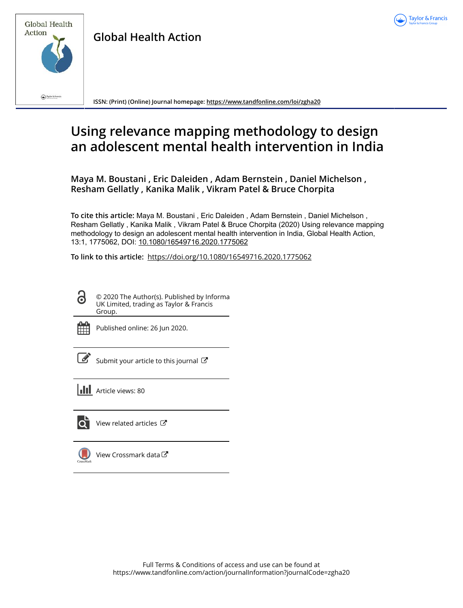



**Global Health Action**

**ISSN: (Print) (Online) Journal homepage:<https://www.tandfonline.com/loi/zgha20>**

# **Using relevance mapping methodology to design an adolescent mental health intervention in India**

**Maya M. Boustani , Eric Daleiden , Adam Bernstein , Daniel Michelson , Resham Gellatly , Kanika Malik , Vikram Patel & Bruce Chorpita**

**To cite this article:** Maya M. Boustani , Eric Daleiden , Adam Bernstein , Daniel Michelson , Resham Gellatly , Kanika Malik , Vikram Patel & Bruce Chorpita (2020) Using relevance mapping methodology to design an adolescent mental health intervention in India, Global Health Action, 13:1, 1775062, DOI: [10.1080/16549716.2020.1775062](https://www.tandfonline.com/action/showCitFormats?doi=10.1080/16549716.2020.1775062)

**To link to this article:** <https://doi.org/10.1080/16549716.2020.1775062>

© 2020 The Author(s). Published by Informa UK Limited, trading as Taylor & Francis Group.



ര

Published online: 26 Jun 2020.

 $\overline{\mathscr{L}}$  [Submit your article to this journal](https://www.tandfonline.com/action/authorSubmission?journalCode=zgha20&show=instructions)  $\mathbb{Z}$ 





View related articles



[View Crossmark data](http://crossmark.crossref.org/dialog/?doi=10.1080/16549716.2020.1775062&domain=pdf&date_stamp=2020-06-26)<sup>C</sup>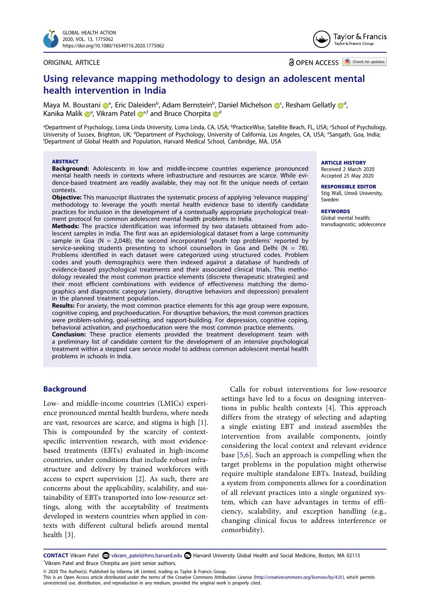

#### ORIGINAL ARTICLE

Taylor & Francis Taylor & Francis Group

**a** OPEN ACCESS **D** Check for updates

# **Using relevance mapping methodology to design an adolescent mental health intervention in India**

Maya M. Boustan[i](http://orcid.org/0000-0002-7739-7857) @<sup>[a](#page-2-0)</sup>, Eric Daleiden<sup>[b](#page-2-0)</sup>, Adam Bernstein<sup>b</sup>, Daniel Mi[c](#page-2-0)helson @<sup>c</sup>, Resham Gellatly @<sup>[d](#page-2-1)</sup>, Kani[k](http://orcid.org/0000-0003-2869-9055)a Malik <sup>n[e](#page-2-1)</sup>, Vikram Pate[l](http://orcid.org/0000-0003-1066-8584) ne<sup>e[,f](#page-2-2)</sup> an[d](#page-2-1) Bruce Chorpita n<sup>d</sup>

<span id="page-2-2"></span><span id="page-2-1"></span><span id="page-2-0"></span><sup>a</sup>Department of Psychology, Loma Linda University, Loma Linda, CA, USA; <sup>b</sup>PracticeWise, Satellite Beach, FL, USA; 'School of Psychology, University of Sussex, Brighton, UK; <sup>a</sup>Department of Psychology, University of California, Los Angeles, CA, USA; <sup>e</sup>Sangath, Goa, India;<br>'Department of Global Health and Population, Harvard Medical School, Cambridge, MA, U Department of Global Health and Population, Harvard Medical School, Cambridge, MA, USA

#### **ABSTRACT**

**Background:** Adolescents in low and middle-income countries experience pronounced mental health needs in contexts where infrastructure and resources are scarce. While evidence-based treatment are readily available, they may not fit the unique needs of certain contexts.

**Objective:** This manuscript illustrates the systematic process of applying 'relevance mapping' methodology to leverage the youth mental health evidence base to identify candidate practices for inclusion in the development of a contextually appropriate psychological treatment protocol for common adolescent mental health problems in India.

**Methods:** The practice identification was informed by two datasets obtained from adolescent samples in India. The first was an epidemiological dataset from a large community sample in Goa ( $N = 2,048$ ); the second incorporated 'youth top problems' reported by service-seeking students presenting to school counsellors in Goa and Delhi ( $N = 78$ ). Problems identified in each dataset were categorized using structured codes. Problem codes and youth demographics were then indexed against a database of hundreds of evidence-based psychological treatments and their associated clinical trials. This methodology revealed the most common practice elements (discrete therapeutic strategies) and their most efficient combinations with evidence of effectiveness matching the demographics and diagnostic category (anxiety, disruptive behaviors and depression) prevalent in the planned treatment population.

**Results:** For anxiety, the most common practice elements for this age group were exposure, cognitive coping, and psychoeducation. For disruptive behaviors, the most common practices were problem-solving, goal-setting, and rapport-building. For depression, cognitive coping, behavioral activation, and psychoeducation were the most common practice elements.

**Conclusion:** These practice elements provided the treatment development team with a preliminary list of candidate content for the development of an intensive psychological treatment within a stepped care service model to address common adolescent mental health problems in schools in India.

#### **ARTICLE HISTORY** Received 2 March 2020

Accepted 25 May 2020

#### **RESPONSIBLE EDITOR**  Stig Wall, Umeå University,

Sweden

# **KEYWORDS**

Global mental health; transdiagnostic; adolescence

## **Background**

<span id="page-2-4"></span><span id="page-2-3"></span>Low- and middle-income countries (LMICs) experience pronounced mental health burdens, where needs are vast, resources are scarce, and stigma is high [[1\]](#page-9-0). This is compounded by the scarcity of contextspecific intervention research, with most evidencebased treatments (EBTs) evaluated in high-income countries, under conditions that include robust infrastructure and delivery by trained workforces with access to expert supervision [[2\]](#page-9-1). As such, there are concerns about the applicability, scalability, and sustainability of EBTs transported into low-resource settings, along with the acceptability of treatments developed in western countries when applied in contexts with different cultural beliefs around mental health [\[3](#page-9-2)].

<span id="page-2-7"></span><span id="page-2-6"></span>Calls for robust interventions for low-resource settings have led to a focus on designing interventions in public health contexts [[4\]](#page-9-3). This approach differs from the strategy of selecting and adapting a single existing EBT and instead assembles the intervention from available components, jointly considering the local context and relevant evidence base [[5](#page-9-4),[6\]](#page-9-5). Such an approach is compelling when the target problems in the population might otherwise require multiple standalone EBTs. Instead, building a system from components allows for a coordination of all relevant practices into a single organized system, which can have advantages in terms of efficiency, scalability, and exception handling (e.g., changing clinical focus to address interference or comorbidity).

<span id="page-2-5"></span>**CONTACT** Vikram Patel a vikram\_patel@hms.harvard.edu **+** Harvard University Global Health and Social Medicine, Boston, MA 02115 Vikram Patel and Bruce Chorpita are joint senior authors.

© 2020 The Author(s). Published by Informa UK Limited, trading as Taylor & Francis Group.

This is an Open Access article distributed under the terms of the Creative Commons Attribution License (http://creativecommons.org/licenses/by/4.0/), which permits unrestricted use, distribution, and reproduction in any medium, provided the original work is properly cited.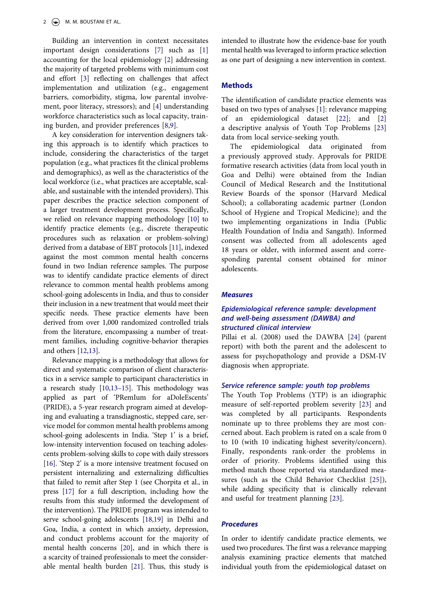<span id="page-3-0"></span>Building an intervention in context necessitates important design considerations [[7\]](#page-9-6) such as [[1\]](#page-9-0) accounting for the local epidemiology [\[2](#page-9-1)] addressing the majority of targeted problems with minimum cost and effort [\[3](#page-9-2)] reflecting on challenges that affect implementation and utilization (e.g., engagement barriers, comorbidity, stigma, low parental involvement, poor literacy, stressors); and [\[4](#page-9-3)] understanding workforce characteristics such as local capacity, training burden, and provider preferences [[8](#page-9-7)[,9](#page-9-8)].

<span id="page-3-3"></span><span id="page-3-1"></span>A key consideration for intervention designers taking this approach is to identify which practices to include, considering the characteristics of the target population (e.g., what practices fit the clinical problems and demographics), as well as the characteristics of the local workforce (i.e., what practices are acceptable, scalable, and sustainable with the intended providers). This paper describes the practice selection component of a larger treatment development process. Specifically, we relied on relevance mapping methodology [[10\]](#page-9-9) to identify practice elements (e.g., discrete therapeutic procedures such as relaxation or problem-solving) derived from a database of EBT protocols [[11](#page-10-0)], indexed against the most common mental health concerns found in two Indian reference samples. The purpose was to identify candidate practice elements of direct relevance to common mental health problems among school-going adolescents in India, and thus to consider their inclusion in a new treatment that would meet their specific needs. These practice elements have been derived from over 1,000 randomized controlled trials from the literature, encompassing a number of treatment families, including cognitive-behavior therapies and others [\[12](#page-10-1),[13\]](#page-10-2).

<span id="page-3-7"></span><span id="page-3-6"></span><span id="page-3-5"></span><span id="page-3-4"></span><span id="page-3-2"></span>Relevance mapping is a methodology that allows for direct and systematic comparison of client characteristics in a service sample to participant characteristics in a research study [\[10](#page-9-9)[,13](#page-10-2)[–15](#page-10-3)]. This methodology was applied as part of 'PRemIum for aDoleEscents' (PRIDE), a 5-year research program aimed at developing and evaluating a transdiagnostic, stepped care, service model for common mental health problems among school-going adolescents in India. 'Step 1' is a brief, low-intensity intervention focused on teaching adolescents problem-solving skills to cope with daily stressors [\[16](#page-10-4)]. 'Step 2' is a more intensive treatment focused on persistent internalizing and externalizing difficulties that failed to remit after Step 1 (see Chorpita et al., in press [[17\]](#page-10-5) for a full description, including how the results from this study informed the development of the intervention). The PRIDE program was intended to serve school-going adolescents [[18,](#page-10-6)[19\]](#page-10-7) in Delhi and Goa, India, a context in which anxiety, depression, and conduct problems account for the majority of mental health concerns [\[20](#page-10-8)], and in which there is a scarcity of trained professionals to meet the considerable mental health burden [[21\]](#page-10-9). Thus, this study is

intended to illustrate how the evidence-base for youth mental health was leveraged to inform practice selection as one part of designing a new intervention in context.

# **Methods**

<span id="page-3-10"></span>The identification of candidate practice elements was based on two types of analyses [[1\]](#page-9-0): relevance mapping of an epidemiological dataset [\[22](#page-10-10)]; and [[2\]](#page-9-1) a descriptive analysis of Youth Top Problems [[23\]](#page-10-11) data from local service-seeking youth.

The epidemiological data originated from a previously approved study. Approvals for PRIDE formative research activities (data from local youth in Goa and Delhi) were obtained from the Indian Council of Medical Research and the Institutional Review Boards of the sponsor (Harvard Medical School); a collaborating academic partner (London School of Hygiene and Tropical Medicine); and the two implementing organizations in India (Public Health Foundation of India and Sangath). Informed consent was collected from all adolescents aged 18 years or older, with informed assent and corresponding parental consent obtained for minor adolescents.

#### *Measures*

# *Epidemiological reference sample: development and well-being assessment (DAWBA) and structured clinical interview*

<span id="page-3-12"></span>Pillai et al. (2008) used the DAWBA [\[24](#page-10-12)] (parent report) with both the parent and the adolescent to assess for psychopathology and provide a DSM-IV diagnosis when appropriate.

# *Service reference sample: youth top problems*

The Youth Top Problems (YTP) is an idiographic measure of self-reported problem severity [[23\]](#page-10-11) and was completed by all participants. Respondents nominate up to three problems they are most concerned about. Each problem is rated on a scale from 0 to 10 (with 10 indicating highest severity/concern). Finally, respondents rank-order the problems in order of priority. Problems identified using this method match those reported via standardized measures (such as the Child Behavior Checklist [[25\]](#page-10-13)), while adding specificity that is clinically relevant and useful for treatment planning [\[23](#page-10-11)].

# <span id="page-3-13"></span><span id="page-3-11"></span>*Procedures*

<span id="page-3-9"></span><span id="page-3-8"></span>In order to identify candidate practice elements, we used two procedures. The first was a relevance mapping analysis examining practice elements that matched individual youth from the epidemiological dataset on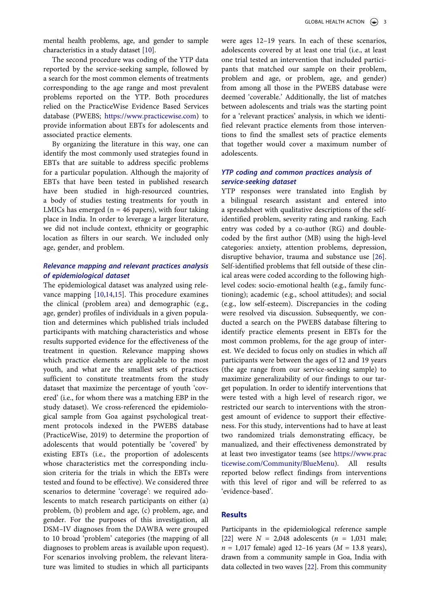mental health problems, age, and gender to sample characteristics in a study dataset [\[10](#page-9-9)].

The second procedure was coding of the YTP data reported by the service-seeking sample, followed by a search for the most common elements of treatments corresponding to the age range and most prevalent problems reported on the YTP. Both procedures relied on the PracticeWise Evidence Based Services database (PWEBS; [https://www.practicewise.com\)](https://www.practicewise.com) to provide information about EBTs for adolescents and associated practice elements.

By organizing the literature in this way, one can identify the most commonly used strategies found in EBTs that are suitable to address specific problems for a particular population. Although the majority of EBTs that have been tested in published research have been studied in high-resourced countries, a body of studies testing treatments for youth in LMICs has emerged ( $n = 46$  papers), with four taking place in India. In order to leverage a larger literature, we did not include context, ethnicity or geographic location as filters in our search. We included only age, gender, and problem.

# *Relevance mapping and relevant practices analysis of epidemiological dataset*

<span id="page-4-0"></span>The epidemiological dataset was analyzed using relevance mapping [[10](#page-9-9)[,14](#page-10-14),[15\]](#page-10-3). This procedure examines the clinical (problem area) and demographic (e.g., age, gender) profiles of individuals in a given population and determines which published trials included participants with matching characteristics and whose results supported evidence for the effectiveness of the treatment in question. Relevance mapping shows which practice elements are applicable to the most youth, and what are the smallest sets of practices sufficient to constitute treatments from the study dataset that maximize the percentage of youth 'covered' (i.e., for whom there was a matching EBP in the study dataset). We cross-referenced the epidemiological sample from Goa against psychological treatment protocols indexed in the PWEBS database (PracticeWise, 2019) to determine the proportion of adolescents that would potentially be 'covered' by existing EBTs (i.e., the proportion of adolescents whose characteristics met the corresponding inclusion criteria for the trials in which the EBTs were tested and found to be effective). We considered three scenarios to determine 'coverage': we required adolescents to match research participants on either (a) problem, (b) problem and age, (c) problem, age, and gender. For the purposes of this investigation, all DSM–IV diagnoses from the DAWBA were grouped to 10 broad 'problem' categories (the mapping of all diagnoses to problem areas is available upon request). For scenarios involving problem, the relevant literature was limited to studies in which all participants

were ages 12–19 years. In each of these scenarios, adolescents covered by at least one trial (i.e., at least one trial tested an intervention that included participants that matched our sample on their problem, problem and age, or problem, age, and gender) from among all those in the PWEBS database were deemed 'coverable.' Additionally, the list of matches between adolescents and trials was the starting point for a 'relevant practices' analysis, in which we identified relevant practice elements from those interventions to find the smallest sets of practice elements that together would cover a maximum number of adolescents.

# *YTP coding and common practices analysis of service-seeking dataset*

<span id="page-4-1"></span>YTP responses were translated into English by a bilingual research assistant and entered into a spreadsheet with qualitative descriptions of the selfidentified problem, severity rating and ranking. Each entry was coded by a co-author (RG) and doublecoded by the first author (MB) using the high-level categories: anxiety, attention problems, depression, disruptive behavior, trauma and substance use [\[26](#page-10-15)]. Self-identified problems that fell outside of these clinical areas were coded according to the following highlevel codes: socio-emotional health (e.g., family functioning); academic (e.g., school attitudes); and social (e.g., low self-esteem). Discrepancies in the coding were resolved via discussion. Subsequently, we conducted a search on the PWEBS database filtering to identify practice elements present in EBTs for the most common problems, for the age group of interest. We decided to focus only on studies in which *all*  participants were between the ages of 12 and 19 years (the age range from our service-seeking sample) to maximize generalizability of our findings to our target population. In order to identify interventions that were tested with a high level of research rigor, we restricted our search to interventions with the strongest amount of evidence to support their effectiveness. For this study, interventions had to have at least two randomized trials demonstrating efficacy, be manualized, and their effectiveness demonstrated by at least two investigator teams (see [https://www.prac](https://www.practicewise.com/Community/BlueMenu) [ticewise.com/Community/BlueMenu](https://www.practicewise.com/Community/BlueMenu)). All results reported below reflect findings from interventions with this level of rigor and will be referred to as 'evidence-based'.

# **Results**

Participants in the epidemiological reference sample [\[22](#page-10-10)] were *N* = 2,048 adolescents (*n* = 1,031 male; *n* = 1,017 female) aged 12–16 years (*M* = 13.8 years), drawn from a community sample in Goa, India with data collected in two waves [\[22](#page-10-10)]. From this community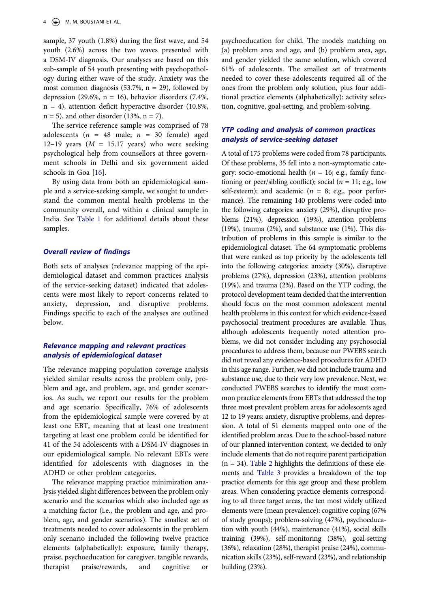sample, 37 youth (1.8%) during the first wave, and 54 youth (2.6%) across the two waves presented with a DSM-IV diagnosis. Our analyses are based on this sub-sample of 54 youth presenting with psychopathology during either wave of the study. Anxiety was the most common diagnosis (53.7%,  $n = 29$ ), followed by depression (29.6%,  $n = 16$ ), behavior disorders (7.4%, n = 4), attention deficit hyperactive disorder (10.8%,  $n = 5$ ), and other disorder (13%,  $n = 7$ ).

The service reference sample was comprised of 78 adolescents ( $n = 48$  male;  $n = 30$  female) aged 12–19 years ( $M = 15.17$  years) who were seeking psychological help from counsellors at three government schools in Delhi and six government aided schools in Goa [\[16](#page-10-4)].

By using data from both an epidemiological sample and a service-seeking sample, we sought to understand the common mental health problems in the community overall, and within a clinical sample in India. See [Table 1](#page-6-0) for additional details about these samples.

# *Overall review of findings*

Both sets of analyses (relevance mapping of the epidemiological dataset and common practices analysis of the service-seeking dataset) indicated that adolescents were most likely to report concerns related to anxiety, depression, and disruptive problems. Findings specific to each of the analyses are outlined below.

# *Relevance mapping and relevant practices analysis of epidemiological dataset*

The relevance mapping population coverage analysis yielded similar results across the problem only, problem and age, and problem, age, and gender scenarios. As such, we report our results for the problem and age scenario. Specifically, 76% of adolescents from the epidemiological sample were covered by at least one EBT, meaning that at least one treatment targeting at least one problem could be identified for 41 of the 54 adolescents with a DSM-IV diagnoses in our epidemiological sample. No relevant EBTs were identified for adolescents with diagnoses in the ADHD or other problem categories.

The relevance mapping practice minimization analysis yielded slight differences between the problem only scenario and the scenarios which also included age as a matching factor (i.e., the problem and age, and problem, age, and gender scenarios). The smallest set of treatments needed to cover adolescents in the problem only scenario included the following twelve practice elements (alphabetically): exposure, family therapy, praise, psychoeducation for caregiver, tangible rewards, therapist praise/rewards, and cognitive or

psychoeducation for child. The models matching on (a) problem area and age, and (b) problem area, age, and gender yielded the same solution, which covered 61% of adolescents. The smallest set of treatments needed to cover these adolescents required all of the ones from the problem only solution, plus four additional practice elements (alphabetically): activity selection, cognitive, goal-setting, and problem-solving.

# *YTP coding and analysis of common practices analysis of service-seeking dataset*

A total of 175 problems were coded from 78 participants. Of these problems, 35 fell into a non-symptomatic category: socio-emotional health (*n* = 16; e.g., family functioning or peer/sibling conflict); social (*n* = 11; e.g., low self-esteem); and academic (*n* = 8; e.g., poor performance). The remaining 140 problems were coded into the following categories: anxiety (29%), disruptive problems (21%), depression (19%), attention problems (19%), trauma (2%), and substance use (1%). This distribution of problems in this sample is similar to the epidemiological dataset. The 64 symptomatic problems that were ranked as top priority by the adolescents fell into the following categories: anxiety (30%), disruptive problems (27%), depression (23%), attention problems (19%), and trauma (2%). Based on the YTP coding, the protocol development team decided that the intervention should focus on the most common adolescent mental health problems in this context for which evidence-based psychosocial treatment procedures are available. Thus, although adolescents frequently noted attention problems, we did not consider including any psychosocial procedures to address them, because our PWEBS search did not reveal any evidence-based procedures for ADHD in this age range. Further, we did not include trauma and substance use, due to their very low prevalence. Next, we conducted PWEBS searches to identify the most common practice elements from EBTs that addressed the top three most prevalent problem areas for adolescents aged 12 to 19 years: anxiety, disruptive problems, and depression. A total of 51 elements mapped onto one of the identified problem areas. Due to the school-based nature of our planned intervention context, we decided to only include elements that do not require parent participation  $(n = 34)$ . [Table 2](#page-7-0) highlights the definitions of these elements and [Table 3](#page-7-1) provides a breakdown of the top practice elements for this age group and these problem areas. When considering practice elements corresponding to all three target areas, the ten most widely utilized elements were (mean prevalence): cognitive coping (67% of study groups); problem-solving (47%), psychoeducation with youth (44%), maintenance (41%), social skills training (39%), self-monitoring (38%), goal-setting (36%), relaxation (28%), therapist praise (24%), communication skills (23%), self-reward (23%), and relationship building (23%).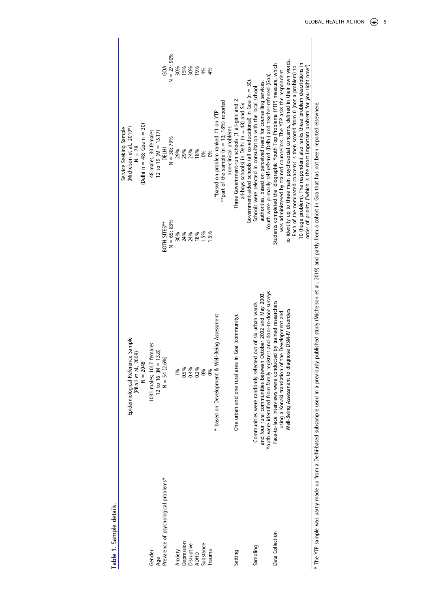| ,<br>ć      |  |
|-------------|--|
| č<br>ï<br>Ó |  |
|             |  |
| ۷           |  |

<span id="page-6-0"></span>

|                                                                                       | Epidemiological Reference Sample                                      |               | Service Seeking Sample                                                                                         |                            |
|---------------------------------------------------------------------------------------|-----------------------------------------------------------------------|---------------|----------------------------------------------------------------------------------------------------------------|----------------------------|
|                                                                                       | (Pillail et al., 2008)                                                |               | (Michelson et al., 2019*)<br>$N = 78$                                                                          |                            |
|                                                                                       | $N = 2048$                                                            |               | (Delhi n = 48; Goa n = 30)                                                                                     |                            |
| Gender                                                                                | emales<br>1031 males; 1017                                            |               | 48 males; 30 females                                                                                           |                            |
| Age                                                                                   | 13.8<br>12 to 16 (M =                                                 |               | 12 to 19 (M = 15.17)                                                                                           |                            |
| Prevalence of psychological problems*                                                 | $N = 54 (2.6\%$                                                       | BOTH SITES**  | DELHI                                                                                                          | $\mathcal{S}^{\mathsf{A}}$ |
|                                                                                       |                                                                       | $N = 65; 83%$ | $N = 38; 79%$                                                                                                  | $N = 27;90%$               |
| Anxiety                                                                               | 1%                                                                    | 30%           | 29%                                                                                                            | 30%                        |
| Depression                                                                            | 0.5%                                                                  | 24%           | 29%                                                                                                            | 15%                        |
| Disruptive                                                                            |                                                                       | 24%           | 24%                                                                                                            |                            |
| <b>ADHD</b>                                                                           | 0.4%<br>0.2%                                                          | 18%           | 18%                                                                                                            | 30%<br>19%                 |
| Substance                                                                             | 0%                                                                    | 1.5%          | 0%                                                                                                             | 4%                         |
| <b>Trauma</b>                                                                         | 0%                                                                    | 1.5%          | 0%                                                                                                             | 4%                         |
|                                                                                       | * based on Development & Well-Being Assessment                        |               | *based on problem ranked #1 on YTP                                                                             |                            |
|                                                                                       |                                                                       |               | **part of the sample ( $n = 13$ ; 18%) reported                                                                |                            |
|                                                                                       |                                                                       |               | non-clinical problems                                                                                          |                            |
| Setting                                                                               | One urban and one rural area in Goa (community).                      |               | Three Government-run schools (1 all-girls and 2                                                                |                            |
|                                                                                       |                                                                       |               | all-boys schools) in Delhi (n = 48) and Six                                                                    |                            |
|                                                                                       |                                                                       |               | Government-aided schools (all co-educational) in Goa (n = 30).                                                 |                            |
| Sampling                                                                              | Communities were randomly selected out of six urban wards             |               | Schools were selected in consultation with the local school                                                    |                            |
|                                                                                       | October 2002 and May 2003.<br>and four rural communities between      |               | authorities, based on perceived need for counselling services.                                                 |                            |
|                                                                                       | Youth were identified from family registers and door-to-door surveys. |               | Youth were primarily self-referred (Delhi) and teacher-referred (Goa).                                         |                            |
| Data Collection                                                                       | Face-to-face interviews were conducted by trained researchers         |               | Students completed the idiographic Youth Top Problems (YTP) measure, which                                     |                            |
|                                                                                       | using a Konaki translation of the Development and                     |               | was administered by trained counsellors. The YTP asks the respondent                                           |                            |
|                                                                                       | Well-Being Assessment to diagnose DSM-IV disorders                    |               | to identify up to three main psychosocial concerns, defined in their own words.                                |                            |
|                                                                                       |                                                                       |               | Each of the nominated concerns is then scored from 0 (not a problem) to                                        |                            |
|                                                                                       |                                                                       |               | 10 (huge problem). The respondent also ranks these problem descriptions in                                     |                            |
|                                                                                       |                                                                       |               | order of priority ("which is the most important problem for you right now").                                   |                            |
| * The YTP sample was partly made up from a Delhi-based subsample used in a previously |                                                                       |               | published study (Michelson et al., 2019) and partly from a cohort in Goa that has not been reported elsewhere. |                            |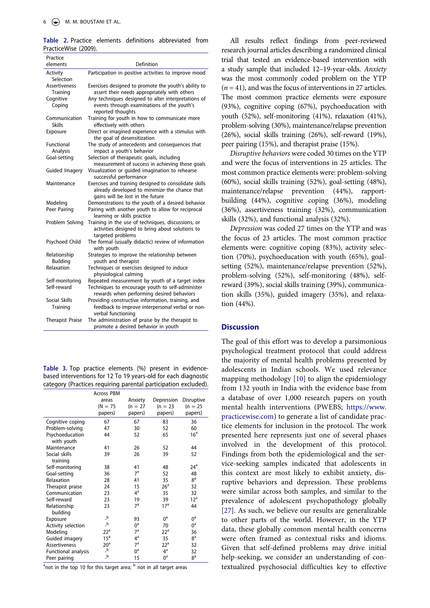<span id="page-7-0"></span>**Table 2.** Practice elements definitions abbreviated from PracticeWise (2009).

| Practice                         |                                                                                                                                            |  |  |  |  |
|----------------------------------|--------------------------------------------------------------------------------------------------------------------------------------------|--|--|--|--|
| elements                         | Definition                                                                                                                                 |  |  |  |  |
| Activity<br>Selection            | Participation in positive activities to improve mood                                                                                       |  |  |  |  |
| <b>Assertiveness</b><br>Training | Exercises designed to promote the youth's ability to<br>assert their needs appropriately with others                                       |  |  |  |  |
| Cognitive                        | Any techniques designed to alter interpretations of                                                                                        |  |  |  |  |
| Coping                           | events through examinations of the youth's<br>reported thoughts                                                                            |  |  |  |  |
| Communication<br><b>Skills</b>   | Training for youth in how to communicate more<br>effectively with others                                                                   |  |  |  |  |
| Exposure                         | Direct or imagined experience with a stimulus with<br>the goal of desensitization                                                          |  |  |  |  |
| Functional<br>Analysis           | The study of antecedents and consequences that<br>impact a youth's behavior                                                                |  |  |  |  |
| Goal-setting                     | Selection of therapeutic goals, including<br>measurement of success in achieving those goals                                               |  |  |  |  |
| Guided Imagery                   | Visualization or guided imagination to rehearse<br>successful performance                                                                  |  |  |  |  |
| Maintenance                      | Exercises and training designed to consolidate skills<br>already developed to minimize the chance that<br>gains will be lost in the future |  |  |  |  |
| Modeling                         | Demonstrations to the youth of a desired behavior                                                                                          |  |  |  |  |
| Peer Pairing                     | Pairing with another youth to allow for reciprocal<br>learning or skills practice                                                          |  |  |  |  |
| Problem Solving                  | Training in the use of techniques, discussions, or<br>activities designed to bring about solutions to<br>targeted problems                 |  |  |  |  |
| Psychoed Child                   | The formal (usually didactic) review of information<br>with youth                                                                          |  |  |  |  |
| Relationship<br>Building         | Strategies to improve the relationship between<br>youth and therapist                                                                      |  |  |  |  |
| Relaxation                       | Techniques or exercises designed to induce<br>physiological calming                                                                        |  |  |  |  |
| Self-monitoring                  | Repeated measurement by youth of a target index                                                                                            |  |  |  |  |
| Self-reward                      | Techniques to encourage youth to self-administer<br>rewards when performing desired behaviors                                              |  |  |  |  |
| Social Skills                    | Providing constructive information, training, and                                                                                          |  |  |  |  |
| Training                         | feedback to improve interpersonal verbal or non-<br>verbal functioning                                                                     |  |  |  |  |
| <b>Therapist Praise</b>          | The administration of praise by the therapist to<br>promote a desired behavior in youth                                                    |  |  |  |  |

<span id="page-7-1"></span>**Table 3.** Top practice elements (%) present in evidencebased interventions for 12 To 19 years-old for each diagnostic category (Practices requiring parental participation excluded).

|                      | <b>Across PBM</b>                       |                |                 |                  |
|----------------------|-----------------------------------------|----------------|-----------------|------------------|
|                      | areas                                   | Anxiety        | Depression      | Disruptive       |
|                      | $(N = 75)$                              | $(n = 27)$     | $(n = 23)$      | $(n = 25)$       |
|                      | papers)                                 | papers)        | papers)         | papers)          |
| Cognitive coping     | 67                                      | 67             | 83              | 36               |
| Problem-solving      | 47                                      | 30             | 52              | 60               |
| Psychoeducation      | 44                                      | 52             | 65              | 16 <sup>a</sup>  |
| with youth           |                                         |                |                 |                  |
| Maintenance          | 41                                      | 26             | 52              | 44               |
| Social skills        | 39                                      | 26             | 39              | 52               |
| training             |                                         |                |                 |                  |
| Self-monitoring      | 38                                      | 41             | 48              | 24 <sup>a</sup>  |
| Goal-setting         | 36                                      | 7 <sup>a</sup> | 52              | 48               |
| Relaxation           | 28                                      | 41             | 35              | 8 <sup>a</sup>   |
| Therapist praise     | 24                                      | 15             | 26 <sup>a</sup> | 32               |
| Communication        | 23                                      | $4^a$          | 35              | 32               |
| Self-reward          | 23                                      | 19             | 39              | 12 <sup>a</sup>  |
| Relationship         | 23                                      | 7 <sup>a</sup> | 17 <sup>a</sup> | 44               |
| building             |                                         |                |                 |                  |
| Exposure             | $\overline{\phantom{a}}^{\,\mathrm{b}}$ | 93             | $0^{\rm a}$     | $0^{\mathsf{a}}$ |
| Activity selection   | $\overline{\phantom{a}}^{\phantom{a}}$  | $0^{\rm a}$    | 70              | $0^{\mathsf{a}}$ |
| Modeling             | $22^{\rm a}$                            | 7 <sup>a</sup> | 22 <sup>a</sup> | 36               |
| Guided imagery       | 15 <sup>a</sup>                         | $4^a$          | 35              | 8 <sup>a</sup>   |
| <b>Assertiveness</b> | 20 <sup>a</sup>                         | 7 <sup>a</sup> | 22 <sup>a</sup> | 32               |
| Functional analysis  | $\overline{\phantom{a}}^{\,\mathrm{b}}$ | $0^a$          | $4^a$           | 32               |
| Peer pairing         | $\overline{\phantom{a}}^{\rm b}$        | 15             | $0^a$           | 8 <sup>a</sup>   |

<sup>a</sup>not in the top 10 for this target area; <sup>b</sup> not in all target areas

All results reflect findings from peer-reviewed research journal articles describing a randomized clinical trial that tested an evidence-based intervention with a study sample that included 12–19-year-olds. *Anxiety*  was the most commonly coded problem on the YTP (*n* = 41), and was the focus of interventions in 27 articles. The most common practice elements were exposure (93%), cognitive coping (67%), psychoeducation with youth (52%), self-monitoring (41%), relaxation (41%), problem-solving (30%), maintenance/relapse prevention (26%), social skills training (26%), self-reward (19%), peer pairing (15%), and therapist praise (15%).

*Disruptive behaviors* were coded 30 times on the YTP and were the focus of interventions in 25 articles. The most common practice elements were: problem-solving (60%), social skills training (52%), goal-setting (48%), maintenance/relapse prevention (44%), rapportbuilding (44%), cognitive coping (36%), modeling (36%), assertiveness training (32%), communication skills (32%), and functional analysis (32%).

*Depression* was coded 27 times on the YTP and was the focus of 23 articles. The most common practice elements were: cognitive coping (83%), activity selection (70%), psychoeducation with youth (65%), goalsetting (52%), maintenance/relapse prevention (52%), problem-solving (52%), self-monitoring (48%), selfreward (39%), social skills training (39%), communication skills (35%), guided imagery (35%), and relaxation (44%).

## **Discussion**

<span id="page-7-2"></span>The goal of this effort was to develop a parsimonious psychological treatment protocol that could address the majority of mental health problems presented by adolescents in Indian schools. We used relevance mapping methodology [[10\]](#page-9-9) to align the epidemiology from 132 youth in India with the evidence base from a database of over 1,000 research papers on youth mental health interventions (PWEBS; [https://www.](https://www.practicewise.com) [practicewise.com](https://www.practicewise.com)) to generate a list of candidate practice elements for inclusion in the protocol. The work presented here represents just one of several phases involved in the development of this protocol. Findings from both the epidemiological and the service-seeking samples indicated that adolescents in this context are most likely to exhibit anxiety, disruptive behaviors and depression. These problems were similar across both samples, and similar to the prevalence of adolescent psychopathology globally [\[27](#page-10-16)]. As such, we believe our results are generalizable to other parts of the world. However, in the YTP data, these globally common mental health concerns were often framed as contextual risks and idioms. Given that self-defined problems may drive initial help-seeking, we consider an understanding of contextualized psychosocial difficulties key to effective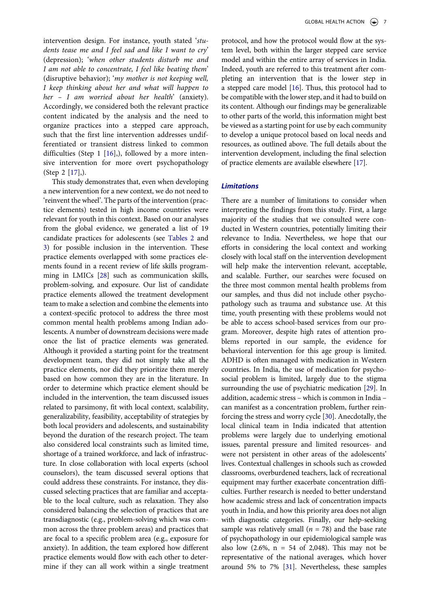intervention design. For instance, youth stated '*students tease me and I feel sad and like I want to cry*' (depression); '*when other students disturb me and I am not able to concentrate, I feel like beating them*' (disruptive behavior); '*my mother is not keeping well, I keep thinking about her and what will happen to her – I am worried about her health*' (anxiety). Accordingly, we considered both the relevant practice content indicated by the analysis and the need to organize practices into a stepped care approach, such that the first line intervention addresses undifferentiated or transient distress linked to common difficulties (Step 1 [\[16](#page-10-4)],), followed by a more intensive intervention for more overt psychopathology (Step 2 [\[17](#page-10-5)],).

<span id="page-8-0"></span>This study demonstrates that, even when developing a new intervention for a new context, we do not need to 'reinvent the wheel'. The parts of the intervention (practice elements) tested in high income countries were relevant for youth in this context. Based on our analyses from the global evidence, we generated a list of 19 candidate practices for adolescents (see [Tables 2](#page-7-0) and [3\)](#page-7-1) for possible inclusion in the intervention. These practice elements overlapped with some practices elements found in a recent review of life skills programming in LMICs [\[28](#page-10-17)] such as communication skills, problem-solving, and exposure. Our list of candidate practice elements allowed the treatment development team to make a selection and combine the elements into a context-specific protocol to address the three most common mental health problems among Indian adolescents. A number of downstream decisions were made once the list of practice elements was generated. Although it provided a starting point for the treatment development team, they did not simply take all the practice elements, nor did they prioritize them merely based on how common they are in the literature. In order to determine which practice element should be included in the intervention, the team discussed issues related to parsimony, fit with local context, scalability, generalizability, feasibility, acceptability of strategies by both local providers and adolescents, and sustainability beyond the duration of the research project. The team also considered local constraints such as limited time, shortage of a trained workforce, and lack of infrastructure. In close collaboration with local experts (school counselors), the team discussed several options that could address these constraints. For instance, they discussed selecting practices that are familiar and acceptable to the local culture, such as relaxation. They also considered balancing the selection of practices that are transdiagnostic (e.g., problem-solving which was common across the three problem areas) and practices that are focal to a specific problem area (e.g., exposure for anxiety). In addition, the team explored how different practice elements would flow with each other to determine if they can all work within a single treatment

protocol, and how the protocol would flow at the system level, both within the larger stepped care service model and within the entire array of services in India. Indeed, youth are referred to this treatment after completing an intervention that is the lower step in a stepped care model [\[16\]](#page-10-4). Thus, this protocol had to be compatible with the lower step, and it had to build on its content. Although our findings may be generalizable to other parts of the world, this information might best be viewed as a starting point for use by each community to develop a unique protocol based on local needs and resources, as outlined above. The full details about the intervention development, including the final selection of practice elements are available elsewhere [\[17\]](#page-10-5).

# *Limitations*

<span id="page-8-3"></span><span id="page-8-2"></span><span id="page-8-1"></span>There are a number of limitations to consider when interpreting the findings from this study. First, a large majority of the studies that we consulted were conducted in Western countries, potentially limiting their relevance to India. Nevertheless, we hope that our efforts in considering the local context and working closely with local staff on the intervention development will help make the intervention relevant, acceptable, and scalable. Further, our searches were focused on the three most common mental health problems from our samples, and thus did not include other psychopathology such as trauma and substance use. At this time, youth presenting with these problems would not be able to access school-based services from our program. Moreover, despite high rates of attention problems reported in our sample, the evidence for behavioral intervention for this age group is limited. ADHD is often managed with medication in Western countries. In India, the use of medication for psychosocial problem is limited, largely due to the stigma surrounding the use of psychiatric medication [\[29](#page-10-18)]. In addition, academic stress – which is common in India – can manifest as a concentration problem, further reinforcing the stress and worry cycle [\[30\]](#page-10-19). Anecdotally, the local clinical team in India indicated that attention problems were largely due to underlying emotional issues, parental pressure and limited resources- and were not persistent in other areas of the adolescents' lives. Contextual challenges in schools such as crowded classrooms, overburdened teachers, lack of recreational equipment may further exacerbate concentration difficulties. Further research is needed to better understand how academic stress and lack of concentration impacts youth in India, and how this priority area does not align with diagnostic categories. Finally, our help-seeking sample was relatively small  $(n = 78)$  and the base rate of psychopathology in our epidemiological sample was also low  $(2.6\% , n = 54$  of 2,048). This may not be representative of the national averages, which hover around 5% to 7% [\[31](#page-10-20)]. Nevertheless, these samples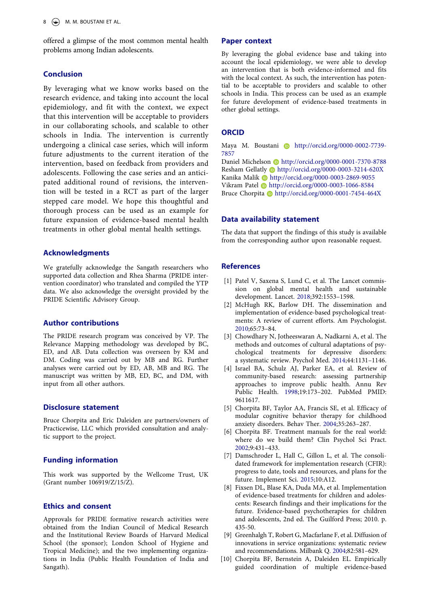offered a glimpse of the most common mental health problems among Indian adolescents.

# **Conclusion**

By leveraging what we know works based on the research evidence, and taking into account the local epidemiology, and fit with the context, we expect that this intervention will be acceptable to providers in our collaborating schools, and scalable to other schools in India. The intervention is currently undergoing a clinical case series, which will inform future adjustments to the current iteration of the intervention, based on feedback from providers and adolescents. Following the case series and an anticipated additional round of revisions, the intervention will be tested in a RCT as part of the larger stepped care model. We hope this thoughtful and thorough process can be used as an example for future expansion of evidence-based mental health treatments in other global mental health settings.

#### **Acknowledgments**

We gratefully acknowledge the Sangath researchers who supported data collection and Rhea Sharma (PRIDE intervention coordinator) who translated and compiled the YTP data. We also acknowledge the oversight provided by the PRIDE Scientific Advisory Group.

# **Author contributions**

The PRIDE research program was conceived by VP. The Relevance Mapping methodology was developed by BC, ED, and AB. Data collection was overseen by KM and DM. Coding was carried out by MB and RG. Further analyses were carried out by ED, AB, MB and RG. The manuscript was written by MB, ED, BC, and DM, with input from all other authors.

# **Disclosure statement**

Bruce Chorpita and Eric Daleiden are partners/owners of Practicewise, LLC which provided consultation and analytic support to the project.

# **Funding information**

This work was supported by the Wellcome Trust, UK (Grant number 106919/Z/15/Z).

# **Ethics and consent**

Approvals for PRIDE formative research activities were obtained from the Indian Council of Medical Research and the Institutional Review Boards of Harvard Medical School (the sponsor); London School of Hygiene and Tropical Medicine); and the two implementing organizations in India (Public Health Foundation of India and Sangath).

### **Paper context**

By leveraging the global evidence base and taking into account the local epidemiology, we were able to develop an intervention that is both evidence-informed and fits with the local context. As such, the intervention has potential to be acceptable to providers and scalable to other schools in India. This process can be used as an example for future development of evidence-based treatments in other global settings.

# **ORCID**

Maya M. Boustani http://orcid.org/0000-0002-7739-7857

Daniel Michelson Dhttp://orcid.org/0000-0001-7370-8788 Resham Gellatly **b** http://orcid.org/0000-0003-3214-620X Kanika Malik D http://orcid.org/0000-0003-2869-9055 Vikram Patel Dhttp://orcid.org/0000-0003-1066-8584 Bruce Chorpita Dhttp://orcid.org/0000-0001-7454-464X

## **Data availability statement**

The data that support the findings of this study is available from the corresponding author upon reasonable request.

# **References**

- <span id="page-9-0"></span>[1] Patel V, Saxena S, Lund C, et al. The Lancet commission on global mental health and sustainable development. Lancet. [2018;](#page-2-3)392:1553–1598.
- <span id="page-9-1"></span>[2] McHugh RK, Barlow DH. The dissemination and implementation of evidence-based psychological treatments: A review of current efforts. Am Psychologist. [2010;](#page-2-4)65:73–84.
- <span id="page-9-2"></span>[3] Chowdhary N, Jotheeswaran A, Nadkarni A, et al. The methods and outcomes of cultural adaptations of psychological treatments for depressive disorders: a systematic review. Psychol Med. [2014](#page-2-5);44:1131–1146.
- <span id="page-9-3"></span>[4] Israel BA, Schulz AJ, Parker EA, et al. Review of community-based research: assessing partnership approaches to improve public health. Annu Rev Public Health. [1998](#page-2-6);19:173–202. PubMed PMID: 9611617.
- <span id="page-9-4"></span>[5] Chorpita BF, Taylor AA, Francis SE, et al. Efficacy of modular cognitive behavior therapy for childhood anxiety disorders. Behav Ther. [2004;](#page-2-7)35:263–287.
- <span id="page-9-5"></span>[6] Chorpita BF. Treatment manuals for the real world: where do we build them? Clin Psychol Sci Pract. [2002;](#page-2-7)9:431–433.
- <span id="page-9-6"></span>[7] Damschroder L, Hall C, Gillon L, et al. The consolidated framework for implementation research (CFIR): progress to date, tools and resources, and plans for the future. Implement Sci. [2015](#page-3-0);10:A12.
- <span id="page-9-7"></span>[8] Fixsen DL, Blase KA, Duda MA, et al. Implementation of evidence-based treatments for children and adolescents: Research findings and their implications for the future. Evidence-based psychotherapies for children and adolescents, 2nd ed. The Guilford Press; 2010. p. 435-50.
- <span id="page-9-8"></span>[9] Greenhalgh T, Robert G, Macfarlane F, et al. Diffusion of innovations in service organizations: systematic review and recommendations. Milbank Q. [2004;](#page-3-1)82:581–629.
- <span id="page-9-9"></span>[10] Chorpita BF, Bernstein A, Daleiden EL. Empirically guided coordination of multiple evidence-based